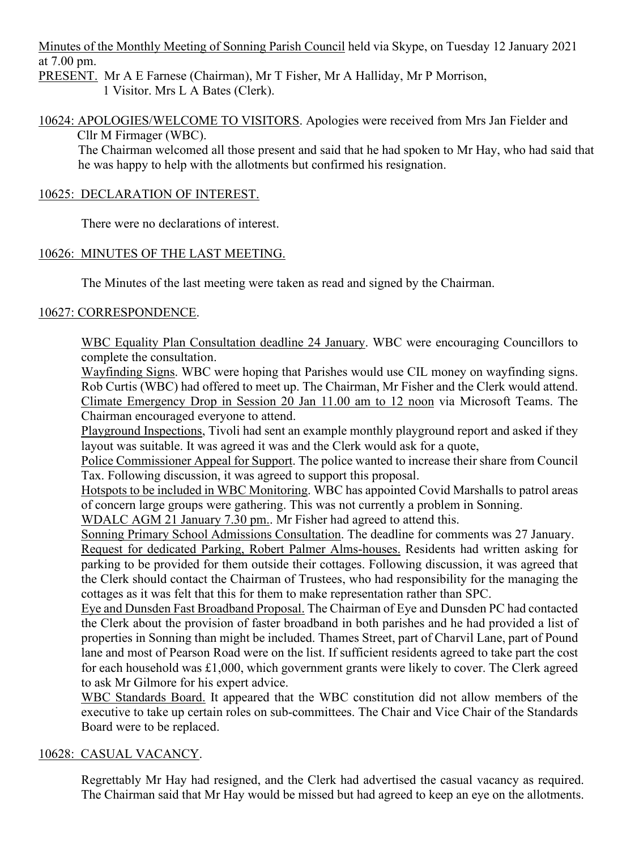Minutes of the Monthly Meeting of Sonning Parish Council held via Skype, on Tuesday 12 January 2021 at 7.00 pm.

PRESENT. Mr A E Farnese (Chairman), Mr T Fisher, Mr A Halliday, Mr P Morrison, 1 Visitor. Mrs L A Bates (Clerk).

10624: APOLOGIES/WELCOME TO VISITORS. Apologies were received from Mrs Jan Fielder and Cllr M Firmager (WBC).

The Chairman welcomed all those present and said that he had spoken to Mr Hay, who had said that he was happy to help with the allotments but confirmed his resignation.

## 10625: DECLARATION OF INTEREST.

There were no declarations of interest.

# 10626: MINUTES OF THE LAST MEETING.

The Minutes of the last meeting were taken as read and signed by the Chairman.

# 10627: CORRESPONDENCE.

WBC Equality Plan Consultation deadline 24 January. WBC were encouraging Councillors to complete the consultation.

Wayfinding Signs. WBC were hoping that Parishes would use CIL money on wayfinding signs. Rob Curtis (WBC) had offered to meet up. The Chairman, Mr Fisher and the Clerk would attend. Climate Emergency Drop in Session 20 Jan 11.00 am to 12 noon via Microsoft Teams. The Chairman encouraged everyone to attend.

Playground Inspections, Tivoli had sent an example monthly playground report and asked if they layout was suitable. It was agreed it was and the Clerk would ask for a quote,

Police Commissioner Appeal for Support. The police wanted to increase their share from Council Tax. Following discussion, it was agreed to support this proposal.

Hotspots to be included in WBC Monitoring. WBC has appointed Covid Marshalls to patrol areas of concern large groups were gathering. This was not currently a problem in Sonning.

WDALC AGM 21 January 7.30 pm.. Mr Fisher had agreed to attend this.

Sonning Primary School Admissions Consultation. The deadline for comments was 27 January.

Request for dedicated Parking, Robert Palmer Alms-houses. Residents had written asking for parking to be provided for them outside their cottages. Following discussion, it was agreed that the Clerk should contact the Chairman of Trustees, who had responsibility for the managing the cottages as it was felt that this for them to make representation rather than SPC.

Eye and Dunsden Fast Broadband Proposal. The Chairman of Eye and Dunsden PC had contacted the Clerk about the provision of faster broadband in both parishes and he had provided a list of properties in Sonning than might be included. Thames Street, part of Charvil Lane, part of Pound lane and most of Pearson Road were on the list. If sufficient residents agreed to take part the cost for each household was £1,000, which government grants were likely to cover. The Clerk agreed to ask Mr Gilmore for his expert advice.

WBC Standards Board. It appeared that the WBC constitution did not allow members of the executive to take up certain roles on sub-committees. The Chair and Vice Chair of the Standards Board were to be replaced.

## 10628: CASUAL VACANCY.

Regrettably Mr Hay had resigned, and the Clerk had advertised the casual vacancy as required. The Chairman said that Mr Hay would be missed but had agreed to keep an eye on the allotments.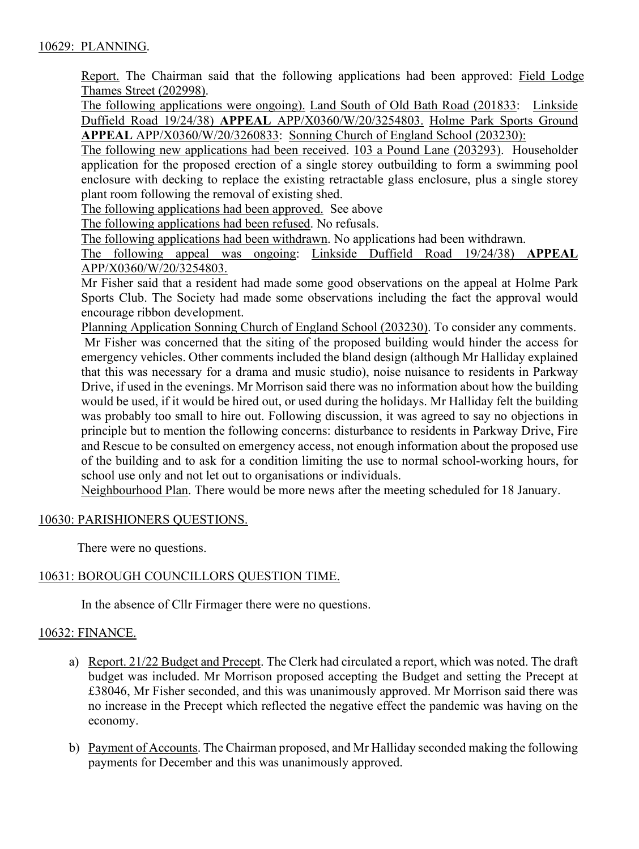## 10629: PLANNING.

Report. The Chairman said that the following applications had been approved: Field Lodge Thames Street (202998).

The following applications were ongoing). Land South of Old Bath Road (201833: Linkside Duffield Road 19/24/38) **APPEAL** APP/X0360/W/20/3254803. Holme Park Sports Ground **APPEAL** APP/X0360/W/20/3260833: Sonning Church of England School (203230):

The following new applications had been received. 103 a Pound Lane (203293). Householder application for the proposed erection of a single storey outbuilding to form a swimming pool enclosure with decking to replace the existing retractable glass enclosure, plus a single storey plant room following the removal of existing shed.

The following applications had been approved. See above

The following applications had been refused. No refusals.

The following applications had been withdrawn. No applications had been withdrawn.

The following appeal was ongoing: Linkside Duffield Road 19/24/38) **APPEAL** APP/X0360/W/20/3254803.

Mr Fisher said that a resident had made some good observations on the appeal at Holme Park Sports Club. The Society had made some observations including the fact the approval would encourage ribbon development.

Planning Application Sonning Church of England School (203230). To consider any comments. Mr Fisher was concerned that the siting of the proposed building would hinder the access for emergency vehicles. Other comments included the bland design (although Mr Halliday explained that this was necessary for a drama and music studio), noise nuisance to residents in Parkway Drive, if used in the evenings. Mr Morrison said there was no information about how the building would be used, if it would be hired out, or used during the holidays. Mr Halliday felt the building was probably too small to hire out. Following discussion, it was agreed to say no objections in principle but to mention the following concerns: disturbance to residents in Parkway Drive, Fire and Rescue to be consulted on emergency access, not enough information about the proposed use of the building and to ask for a condition limiting the use to normal school-working hours, for school use only and not let out to organisations or individuals.

Neighbourhood Plan. There would be more news after the meeting scheduled for 18 January.

## 10630: PARISHIONERS QUESTIONS.

There were no questions.

## 10631: BOROUGH COUNCILLORS QUESTION TIME.

In the absence of Cllr Firmager there were no questions.

## 10632: FINANCE.

- a) Report. 21/22 Budget and Precept. The Clerk had circulated a report, which was noted. The draft budget was included. Mr Morrison proposed accepting the Budget and setting the Precept at £38046, Mr Fisher seconded, and this was unanimously approved. Mr Morrison said there was no increase in the Precept which reflected the negative effect the pandemic was having on the economy.
- b) Payment of Accounts. The Chairman proposed, and Mr Halliday seconded making the following payments for December and this was unanimously approved.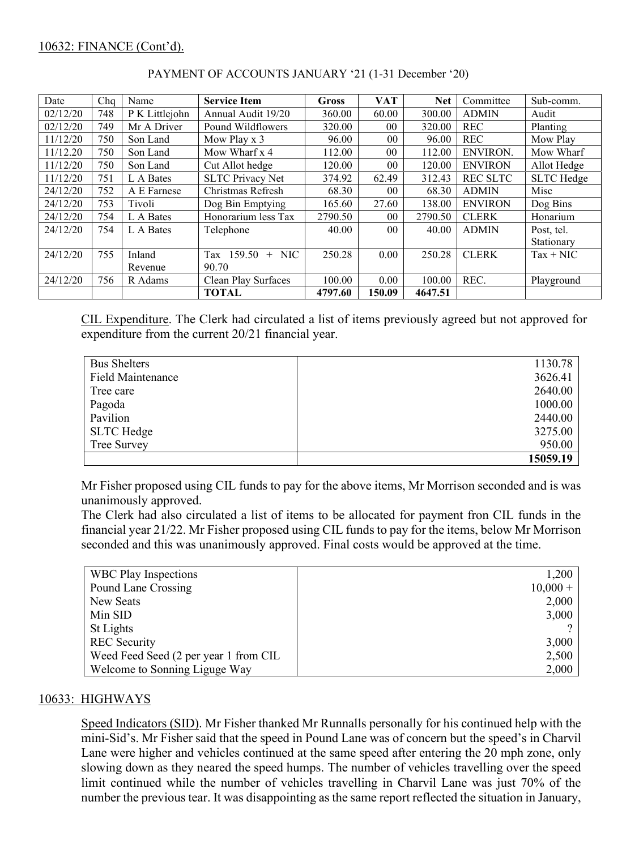## 10632: FINANCE (Cont'd).

| Date     | Cha | Name           | <b>Service Item</b>     | Gross   | <b>VAT</b>      | <b>Net</b> | Committee       | Sub-comm.         |
|----------|-----|----------------|-------------------------|---------|-----------------|------------|-----------------|-------------------|
| 02/12/20 | 748 | P K Littlejohn | Annual Audit 19/20      | 360.00  | 60.00           | 300.00     | <b>ADMIN</b>    | Audit             |
| 02/12/20 | 749 | Mr A Driver    | Pound Wildflowers       | 320.00  | 00 <sup>°</sup> | 320.00     | <b>REC</b>      | Planting          |
| 11/12/20 | 750 | Son Land       | Mow Play x 3            | 96.00   | 0 <sub>0</sub>  | 96.00      | <b>REC</b>      | Mow Play          |
| 11/12.20 | 750 | Son Land       | Mow Wharf x 4           | 112.00  | 0 <sub>0</sub>  | 112.00     | <b>ENVIRON.</b> | Mow Wharf         |
| 11/12/20 | 750 | Son Land       | Cut Allot hedge         | 120.00  | 0 <sub>0</sub>  | 120.00     | <b>ENVIRON</b>  | Allot Hedge       |
| 11/12/20 | 751 | L A Bates      | <b>SLTC Privacy Net</b> | 374.92  | 62.49           | 312.43     | <b>REC SLTC</b> | <b>SLTC</b> Hedge |
| 24/12/20 | 752 | A E Farnese    | Christmas Refresh       | 68.30   | 0 <sub>0</sub>  | 68.30      | <b>ADMIN</b>    | Misc              |
| 24/12/20 | 753 | Tivoli         | Dog Bin Emptying        | 165.60  | 27.60           | 138.00     | <b>ENVIRON</b>  | Dog Bins          |
| 24/12/20 | 754 | L A Bates      | Honorarium less Tax     | 2790.50 | 0 <sub>0</sub>  | 2790.50    | <b>CLERK</b>    | Honarium          |
| 24/12/20 | 754 | L A Bates      | Telephone               | 40.00   | 0 <sup>0</sup>  | 40.00      | <b>ADMIN</b>    | Post, tel.        |
|          |     |                |                         |         |                 |            |                 | Stationary        |
| 24/12/20 | 755 | Inland         | Tax 159.50<br>$+$ NIC   | 250.28  | 0.00            | 250.28     | <b>CLERK</b>    | $Tax + NIC$       |
|          |     | Revenue        | 90.70                   |         |                 |            |                 |                   |
| 24/12/20 | 756 | R Adams        | Clean Play Surfaces     | 100.00  | 0.00            | 100.00     | REC.            | Playground        |
|          |     |                | <b>TOTAL</b>            | 4797.60 | 150.09          | 4647.51    |                 |                   |

## PAYMENT OF ACCOUNTS JANUARY '21 (1-31 December '20)

CIL Expenditure. The Clerk had circulated a list of items previously agreed but not approved for expenditure from the current 20/21 financial year.

| <b>Bus Shelters</b>      | 1130.78  |
|--------------------------|----------|
| <b>Field Maintenance</b> | 3626.41  |
| Tree care                | 2640.00  |
| Pagoda                   | 1000.00  |
| Pavilion                 | 2440.00  |
| <b>SLTC</b> Hedge        | 3275.00  |
| Tree Survey              | 950.00   |
|                          | 15059.19 |

Mr Fisher proposed using CIL funds to pay for the above items, Mr Morrison seconded and is was unanimously approved.

The Clerk had also circulated a list of items to be allocated for payment fron CIL funds in the financial year 21/22. Mr Fisher proposed using CIL funds to pay for the items, below Mr Morrison seconded and this was unanimously approved. Final costs would be approved at the time.

| <b>WBC Play Inspections</b>           | 1,200      |
|---------------------------------------|------------|
| Pound Lane Crossing                   | $10,000 +$ |
| New Seats                             | 2,000      |
| Min SID                               | 3,000      |
| St Lights                             |            |
| <b>REC</b> Security                   | 3,000      |
| Weed Feed Seed (2 per year 1 from CIL | 2,500      |
| Welcome to Sonning Liguge Way         | 2,000      |

## 10633: HIGHWAYS

Speed Indicators (SID). Mr Fisher thanked Mr Runnalls personally for his continued help with the mini-Sid's. Mr Fisher said that the speed in Pound Lane was of concern but the speed's in Charvil Lane were higher and vehicles continued at the same speed after entering the 20 mph zone, only slowing down as they neared the speed humps. The number of vehicles travelling over the speed limit continued while the number of vehicles travelling in Charvil Lane was just 70% of the number the previous tear. It was disappointing as the same report reflected the situation in January,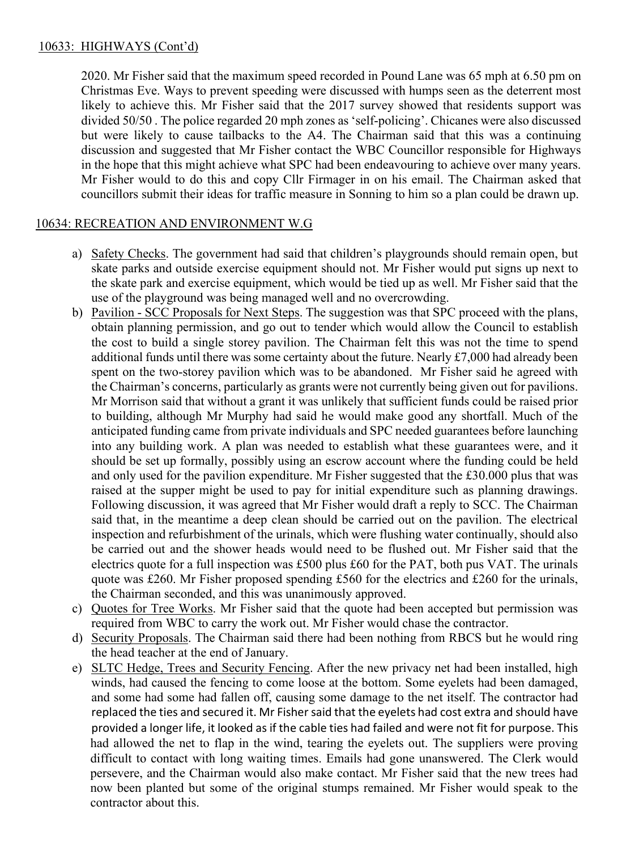2020. Mr Fisher said that the maximum speed recorded in Pound Lane was 65 mph at 6.50 pm on Christmas Eve. Ways to prevent speeding were discussed with humps seen as the deterrent most likely to achieve this. Mr Fisher said that the 2017 survey showed that residents support was divided 50/50 . The police regarded 20 mph zones as 'self-policing'. Chicanes were also discussed but were likely to cause tailbacks to the A4. The Chairman said that this was a continuing discussion and suggested that Mr Fisher contact the WBC Councillor responsible for Highways in the hope that this might achieve what SPC had been endeavouring to achieve over many years. Mr Fisher would to do this and copy Cllr Firmager in on his email. The Chairman asked that councillors submit their ideas for traffic measure in Sonning to him so a plan could be drawn up.

# 10634: RECREATION AND ENVIRONMENT W.G

- a) Safety Checks. The government had said that children's playgrounds should remain open, but skate parks and outside exercise equipment should not. Mr Fisher would put signs up next to the skate park and exercise equipment, which would be tied up as well. Mr Fisher said that the use of the playground was being managed well and no overcrowding.
- b) Pavilion SCC Proposals for Next Steps. The suggestion was that SPC proceed with the plans, obtain planning permission, and go out to tender which would allow the Council to establish the cost to build a single storey pavilion. The Chairman felt this was not the time to spend additional funds until there was some certainty about the future. Nearly £7,000 had already been spent on the two-storey pavilion which was to be abandoned. Mr Fisher said he agreed with the Chairman's concerns, particularly as grants were not currently being given out for pavilions. Mr Morrison said that without a grant it was unlikely that sufficient funds could be raised prior to building, although Mr Murphy had said he would make good any shortfall. Much of the anticipated funding came from private individuals and SPC needed guarantees before launching into any building work. A plan was needed to establish what these guarantees were, and it should be set up formally, possibly using an escrow account where the funding could be held and only used for the pavilion expenditure. Mr Fisher suggested that the £30.000 plus that was raised at the supper might be used to pay for initial expenditure such as planning drawings. Following discussion, it was agreed that Mr Fisher would draft a reply to SCC. The Chairman said that, in the meantime a deep clean should be carried out on the pavilion. The electrical inspection and refurbishment of the urinals, which were flushing water continually, should also be carried out and the shower heads would need to be flushed out. Mr Fisher said that the electrics quote for a full inspection was £500 plus £60 for the PAT, both pus VAT. The urinals quote was £260. Mr Fisher proposed spending £560 for the electrics and £260 for the urinals, the Chairman seconded, and this was unanimously approved.
- c) Quotes for Tree Works. Mr Fisher said that the quote had been accepted but permission was required from WBC to carry the work out. Mr Fisher would chase the contractor.
- d) Security Proposals. The Chairman said there had been nothing from RBCS but he would ring the head teacher at the end of January.
- e) SLTC Hedge, Trees and Security Fencing. After the new privacy net had been installed, high winds, had caused the fencing to come loose at the bottom. Some eyelets had been damaged, and some had some had fallen off, causing some damage to the net itself. The contractor had replaced the ties and secured it. Mr Fisher said that the eyelets had cost extra and should have provided a longer life, it looked as if the cable ties had failed and were not fit for purpose. This had allowed the net to flap in the wind, tearing the eyelets out. The suppliers were proving difficult to contact with long waiting times. Emails had gone unanswered. The Clerk would persevere, and the Chairman would also make contact. Mr Fisher said that the new trees had now been planted but some of the original stumps remained. Mr Fisher would speak to the contractor about this.